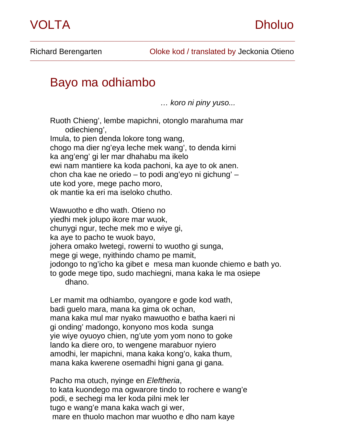

Richard Berengarten **Cloke kod** / translated by Jeckonia Otieno

## Bayo ma odhiambo

 *… koro ni piny yuso...* 

Ruoth Chieng', lembe mapichni, otonglo marahuma mar odiechieng', Imula, to pien denda lokore tong wang, chogo ma dier ng'eya leche mek wang', to denda kirni ka ang'eng' gi ler mar dhahabu ma ikelo ewi nam mantiere ka koda pachoni, ka aye to ok anen. chon cha kae ne oriedo – to podi ang'eyo ni gichung' – ute kod yore, mege pacho moro, ok mantie ka eri ma iseloko chutho.

\_\_\_\_\_\_\_\_\_\_\_\_\_\_\_\_\_\_\_\_\_\_\_\_\_\_\_\_\_\_\_\_\_\_\_\_\_\_\_\_\_\_\_\_\_\_\_\_\_\_\_\_\_\_\_\_\_\_\_\_\_\_\_\_\_\_\_\_\_\_\_\_\_\_\_\_\_\_\_\_\_\_\_\_\_\_\_\_\_\_\_\_\_\_\_\_\_\_\_\_\_\_\_\_\_\_\_

Wawuotho e dho wath. Otieno no yiedhi mek jolupo ikore mar wuok, chunygi ngur, teche mek mo e wiye gi, ka aye to pacho te wuok bayo, johera omako lwetegi, rowerni to wuotho gi sunga, mege gi wege, nyithindo chamo pe mamit, jodongo to ng'icho ka gibet e mesa man kuonde chiemo e bath yo. to gode mege tipo, sudo machiegni, mana kaka le ma osiepe dhano.

Ler mamit ma odhiambo, oyangore e gode kod wath, badi guelo mara, mana ka gima ok ochan, mana kaka mul mar nyako mawuotho e batha kaeri ni gi onding' madongo, konyono mos koda sunga yie wiye oyuoyo chien, ng'ute yom yom nono to goke lando ka diere oro, to wengene marabuor nyiero amodhi, ler mapichni, mana kaka kong'o, kaka thum, mana kaka kwerene osemadhi higni gana gi gana.

Pacho ma otuch, nyinge en *Eleftheria*, to kata kuondego ma ogwarore tindo to rochere e wang'e podi, e sechegi ma ler koda pilni mek ler tugo e wang'e mana kaka wach gi wer, mare en thuolo machon mar wuotho e dho nam kaye